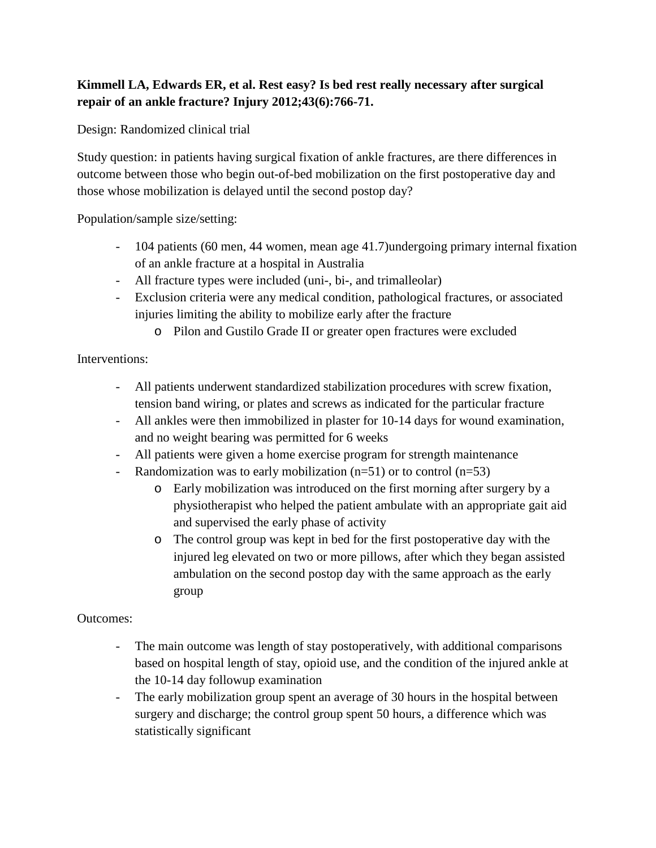## **Kimmell LA, Edwards ER, et al. Rest easy? Is bed rest really necessary after surgical repair of an ankle fracture? Injury 2012;43(6):766-71.**

Design: Randomized clinical trial

Study question: in patients having surgical fixation of ankle fractures, are there differences in outcome between those who begin out-of-bed mobilization on the first postoperative day and those whose mobilization is delayed until the second postop day?

Population/sample size/setting:

- 104 patients (60 men, 44 women, mean age 41.7)undergoing primary internal fixation of an ankle fracture at a hospital in Australia
- All fracture types were included (uni-, bi-, and trimalleolar)
- Exclusion criteria were any medical condition, pathological fractures, or associated injuries limiting the ability to mobilize early after the fracture
	- o Pilon and Gustilo Grade II or greater open fractures were excluded

Interventions:

- All patients underwent standardized stabilization procedures with screw fixation, tension band wiring, or plates and screws as indicated for the particular fracture
- All ankles were then immobilized in plaster for 10-14 days for wound examination, and no weight bearing was permitted for 6 weeks
- All patients were given a home exercise program for strength maintenance
- Randomization was to early mobilization  $(n=51)$  or to control  $(n=53)$ 
	- o Early mobilization was introduced on the first morning after surgery by a physiotherapist who helped the patient ambulate with an appropriate gait aid and supervised the early phase of activity
	- o The control group was kept in bed for the first postoperative day with the injured leg elevated on two or more pillows, after which they began assisted ambulation on the second postop day with the same approach as the early group

Outcomes:

- The main outcome was length of stay postoperatively, with additional comparisons based on hospital length of stay, opioid use, and the condition of the injured ankle at the 10-14 day followup examination
- The early mobilization group spent an average of 30 hours in the hospital between surgery and discharge; the control group spent 50 hours, a difference which was statistically significant